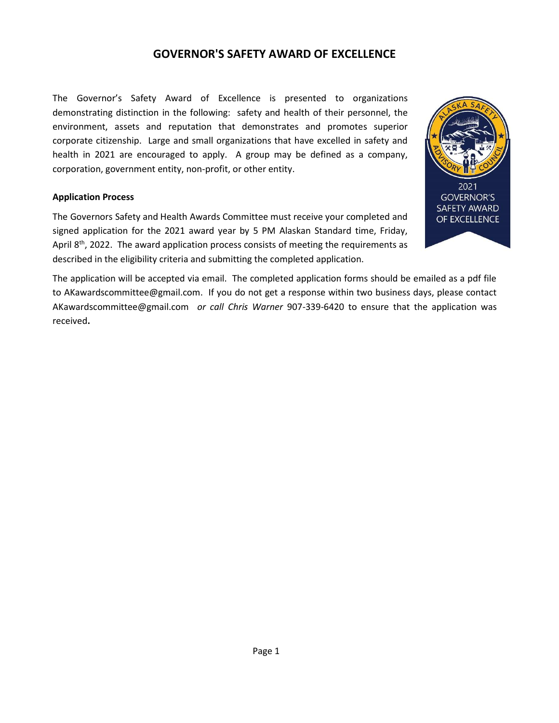### GOVERNOR'S SAFETY AWARD OF EXCELLENCE

The Governor's Safety Award of Excellence is presented to organizations demonstrating distinction in the following: safety and health of their personnel, the environment, assets and reputation that demonstrates and promotes superior corporate citizenship. Large and small organizations that have excelled in safety and health in 2021 are encouraged to apply. A group may be defined as a company, corporation, government entity, non-profit, or other entity.

### Application Process

The Governors Safety and Health Awards Committee must receive your completed and signed application for the 2021 award year by 5 PM Alaskan Standard time, Friday, April  $8<sup>th</sup>$ , 2022. The award application process consists of meeting the requirements as described in the eligibility criteria and submitting the completed application.



The application will be accepted via email. The completed application forms should be emailed as a pdf file to AKawardscommittee@gmail.com. If you do not get a response within two business days, please contact AKawardscommittee@gmail.com or call Chris Warner 907-339-6420 to ensure that the application was received.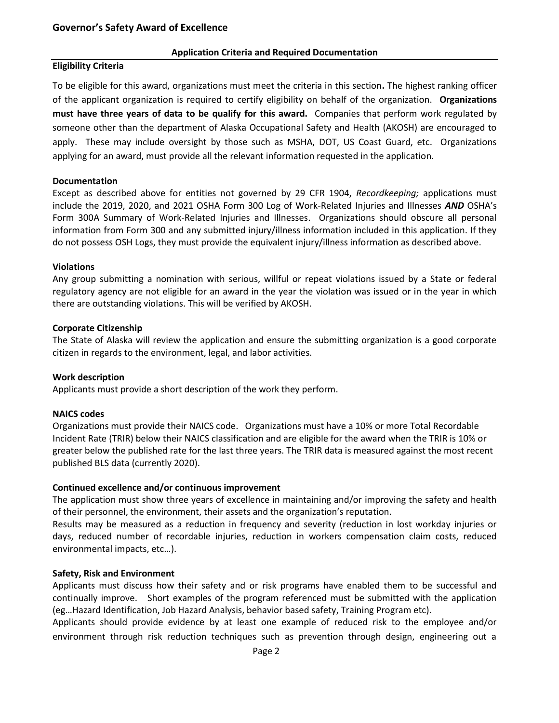#### Application Criteria and Required Documentation

### Eligibility Criteria

To be eligible for this award, organizations must meet the criteria in this section. The highest ranking officer of the applicant organization is required to certify eligibility on behalf of the organization. Organizations must have three years of data to be qualify for this award. Companies that perform work regulated by someone other than the department of Alaska Occupational Safety and Health (AKOSH) are encouraged to apply. These may include oversight by those such as MSHA, DOT, US Coast Guard, etc. Organizations applying for an award, must provide all the relevant information requested in the application.

### Documentation

Except as described above for entities not governed by 29 CFR 1904, Recordkeeping; applications must include the 2019, 2020, and 2021 OSHA Form 300 Log of Work-Related Injuries and Illnesses AND OSHA's Form 300A Summary of Work-Related Injuries and Illnesses. Organizations should obscure all personal information from Form 300 and any submitted injury/illness information included in this application. If they do not possess OSH Logs, they must provide the equivalent injury/illness information as described above.

#### Violations

Any group submitting a nomination with serious, willful or repeat violations issued by a State or federal regulatory agency are not eligible for an award in the year the violation was issued or in the year in which there are outstanding violations. This will be verified by AKOSH.

#### Corporate Citizenship

The State of Alaska will review the application and ensure the submitting organization is a good corporate citizen in regards to the environment, legal, and labor activities.

### Work description

Applicants must provide a short description of the work they perform.

### NAICS codes

Organizations must provide their NAICS code. Organizations must have a 10% or more Total Recordable Incident Rate (TRIR) below their NAICS classification and are eligible for the award when the TRIR is 10% or greater below the published rate for the last three years. The TRIR data is measured against the most recent published BLS data (currently 2020).

### Continued excellence and/or continuous improvement

The application must show three years of excellence in maintaining and/or improving the safety and health of their personnel, the environment, their assets and the organization's reputation.

Results may be measured as a reduction in frequency and severity (reduction in lost workday injuries or days, reduced number of recordable injuries, reduction in workers compensation claim costs, reduced environmental impacts, etc…).

#### Safety, Risk and Environment

Applicants must discuss how their safety and or risk programs have enabled them to be successful and continually improve. Short examples of the program referenced must be submitted with the application (eg…Hazard Identification, Job Hazard Analysis, behavior based safety, Training Program etc).

Applicants should provide evidence by at least one example of reduced risk to the employee and/or environment through risk reduction techniques such as prevention through design, engineering out a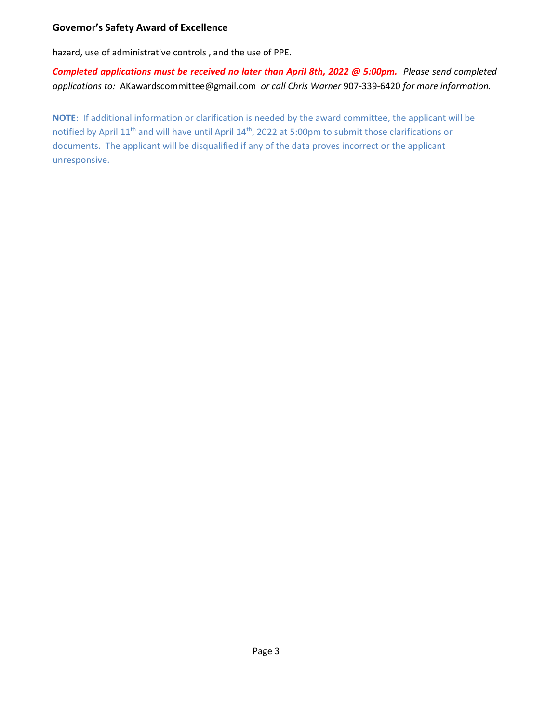### Governor's Safety Award of Excellence

hazard, use of administrative controls , and the use of PPE.

Completed applications must be received no later than April 8th, 2022 @ 5:00pm. Please send completed applications to: AKawardscommittee@gmail.com or call Chris Warner 907-339-6420 for more information.

NOTE: If additional information or clarification is needed by the award committee, the applicant will be notified by April 11<sup>th</sup> and will have until April 14<sup>th</sup>, 2022 at 5:00pm to submit those clarifications or documents. The applicant will be disqualified if any of the data proves incorrect or the applicant unresponsive.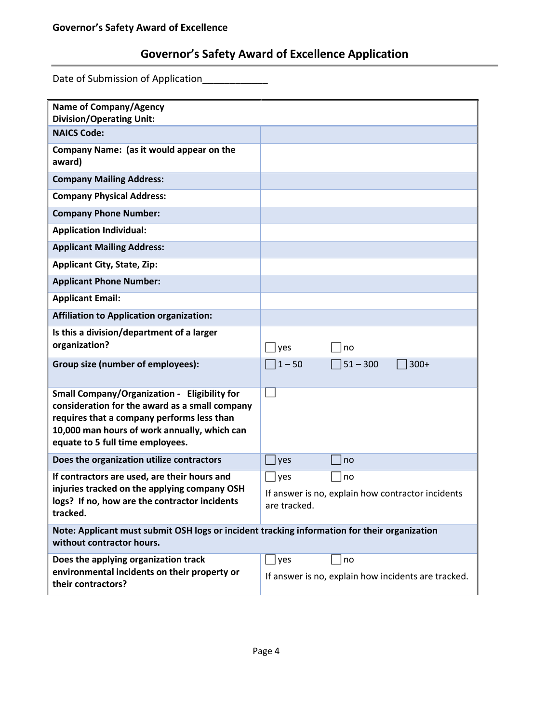# Governor's Safety Award of Excellence Application

Date of Submission of Application\_\_\_\_\_\_\_\_\_\_\_\_

| <b>Name of Company/Agency</b><br><b>Division/Operating Unit:</b>                                                                                                                                                                        |                                                                   |                      |
|-----------------------------------------------------------------------------------------------------------------------------------------------------------------------------------------------------------------------------------------|-------------------------------------------------------------------|----------------------|
| <b>NAICS Code:</b>                                                                                                                                                                                                                      |                                                                   |                      |
| Company Name: (as it would appear on the<br>award)                                                                                                                                                                                      |                                                                   |                      |
| <b>Company Mailing Address:</b>                                                                                                                                                                                                         |                                                                   |                      |
| <b>Company Physical Address:</b>                                                                                                                                                                                                        |                                                                   |                      |
| <b>Company Phone Number:</b>                                                                                                                                                                                                            |                                                                   |                      |
| <b>Application Individual:</b>                                                                                                                                                                                                          |                                                                   |                      |
| <b>Applicant Mailing Address:</b>                                                                                                                                                                                                       |                                                                   |                      |
| <b>Applicant City, State, Zip:</b>                                                                                                                                                                                                      |                                                                   |                      |
| <b>Applicant Phone Number:</b>                                                                                                                                                                                                          |                                                                   |                      |
| <b>Applicant Email:</b>                                                                                                                                                                                                                 |                                                                   |                      |
| <b>Affiliation to Application organization:</b>                                                                                                                                                                                         |                                                                   |                      |
| Is this a division/department of a larger<br>organization?                                                                                                                                                                              | $\exists$ yes                                                     | no                   |
| Group size (number of employees):                                                                                                                                                                                                       | $1 - 50$                                                          | $51 - 300$<br>$300+$ |
| <b>Small Company/Organization - Eligibility for</b><br>consideration for the award as a small company<br>requires that a company performs less than<br>10,000 man hours of work annually, which can<br>equate to 5 full time employees. |                                                                   |                      |
| Does the organization utilize contractors                                                                                                                                                                                               | yes                                                               | no                   |
| If contractors are used, are their hours and<br>injuries tracked on the applying company OSH<br>logs? If no, how are the contractor incidents<br>tracked.                                                                               | $\Box$ yes                                                        | no                   |
|                                                                                                                                                                                                                                         | If answer is no, explain how contractor incidents<br>are tracked. |                      |
| Note: Applicant must submit OSH logs or incident tracking information for their organization<br>without contractor hours.                                                                                                               |                                                                   |                      |
| Does the applying organization track                                                                                                                                                                                                    | $\vert$ yes                                                       | no                   |
| environmental incidents on their property or<br>their contractors?                                                                                                                                                                      | If answer is no, explain how incidents are tracked.               |                      |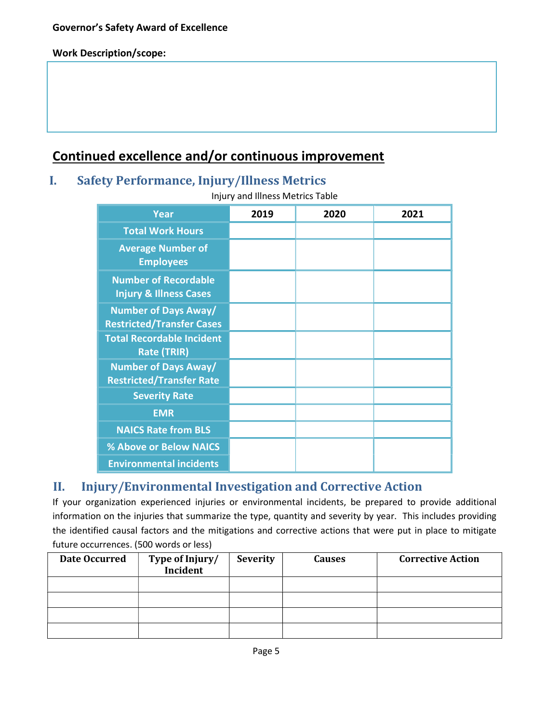### Work Description/scope:

# Continued excellence and/or continuous improvement

### I. Safety Performance, Injury/Illness Metrics

Injury and Illness Metrics Table

| <b>Year</b>                                                      | 2019 | 2020 | 2021 |
|------------------------------------------------------------------|------|------|------|
| <b>Total Work Hours</b>                                          |      |      |      |
| <b>Average Number of</b><br><b>Employees</b>                     |      |      |      |
| <b>Number of Recordable</b><br><b>Injury &amp; Illness Cases</b> |      |      |      |
| <b>Number of Days Away/</b><br><b>Restricted/Transfer Cases</b>  |      |      |      |
| <b>Total Recordable Incident</b><br><b>Rate (TRIR)</b>           |      |      |      |
| <b>Number of Days Away/</b><br><b>Restricted/Transfer Rate</b>   |      |      |      |
| <b>Severity Rate</b>                                             |      |      |      |
| <b>EMR</b>                                                       |      |      |      |
| <b>NAICS Rate from BLS</b>                                       |      |      |      |
| % Above or Below NAICS                                           |      |      |      |
| <b>Environmental incidents</b>                                   |      |      |      |

## II. Injury/Environmental Investigation and Corrective Action

If your organization experienced injuries or environmental incidents, be prepared to provide additional information on the injuries that summarize the type, quantity and severity by year. This includes providing the identified causal factors and the mitigations and corrective actions that were put in place to mitigate future occurrences. (500 words or less)

| Date Occurred | Type of Injury/<br>Incident | <b>Severity</b> | <b>Causes</b> | <b>Corrective Action</b> |
|---------------|-----------------------------|-----------------|---------------|--------------------------|
|               |                             |                 |               |                          |
|               |                             |                 |               |                          |
|               |                             |                 |               |                          |
|               |                             |                 |               |                          |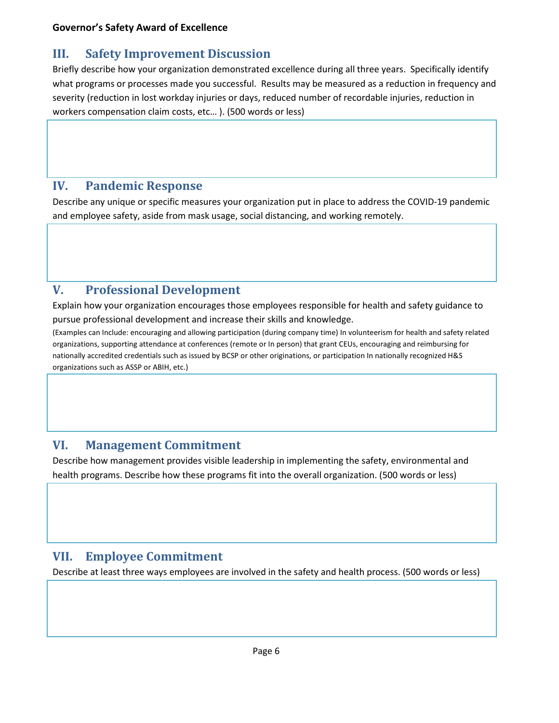## III. Safety Improvement Discussion

Briefly describe how your organization demonstrated excellence during all three years. Specifically identify what programs or processes made you successful. Results may be measured as a reduction in frequency and severity (reduction in lost workday injuries or days, reduced number of recordable injuries, reduction in workers compensation claim costs, etc… ). (500 words or less)

### IV. Pandemic Response

Describe any unique or specific measures your organization put in place to address the COVID-19 pandemic and employee safety, aside from mask usage, social distancing, and working remotely.

## V. Professional Development

Explain how your organization encourages those employees responsible for health and safety guidance to pursue professional development and increase their skills and knowledge.

(Examples can Include: encouraging and allowing participation (during company time) In volunteerism for health and safety related organizations, supporting attendance at conferences (remote or In person) that grant CEUs, encouraging and reimbursing for nationally accredited credentials such as issued by BCSP or other originations, or participation In nationally recognized H&S organizations such as ASSP or ABIH, etc.)

## VI. Management Commitment

Describe how management provides visible leadership in implementing the safety, environmental and health programs. Describe how these programs fit into the overall organization. (500 words or less)

## VII. Employee Commitment

Describe at least three ways employees are involved in the safety and health process. (500 words or less)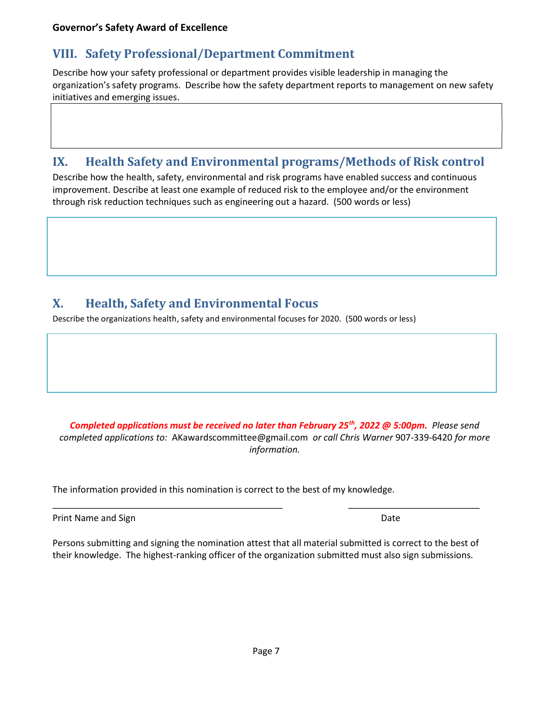## VIII. Safety Professional/Department Commitment

Describe how your safety professional or department provides visible leadership in managing the organization's safety programs. Describe how the safety department reports to management on new safety initiatives and emerging issues.

## IX. Health Safety and Environmental programs/Methods of Risk control

Describe how the health, safety, environmental and risk programs have enabled success and continuous improvement. Describe at least one example of reduced risk to the employee and/or the environment through risk reduction techniques such as engineering out a hazard. (500 words or less)

## X. Health, Safety and Environmental Focus

Describe the organizations health, safety and environmental focuses for 2020. (500 words or less)

Completed applications must be received no later than February 25<sup>th</sup>, 2022 @ 5:00pm. Please send completed applications to: AKawardscommittee@gmail.com or call Chris Warner 907-339-6420 for more information.

The information provided in this nomination is correct to the best of my knowledge.

Print Name and Sign Date of Contract and Sign Date of Contract and Date of Contract and Date of Contract and Date

 $\overline{a}$ 

Persons submitting and signing the nomination attest that all material submitted is correct to the best of their knowledge. The highest-ranking officer of the organization submitted must also sign submissions.